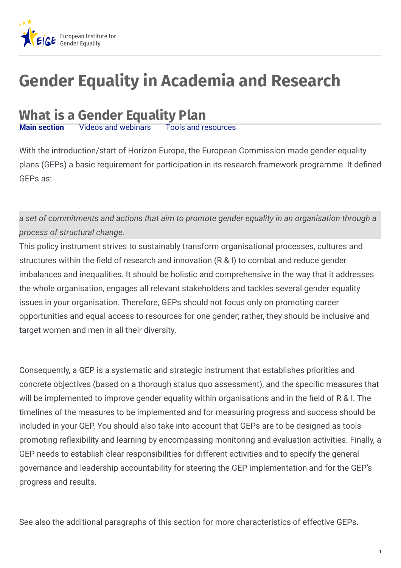

# **Gender Equality in Academia and Research**

# **What is a Gender Equality Plan**

**Videos and [webinars](https://eige.europa.eu/gender-mainstreaming/toolkits/gear/what-gender-equality-plan-gep?lang=pl#panel3-2)** 

With the introduction/start of Horizon Europe, the European Commission made gender equality plans (GEPs) a basic requirement for participation in its research framework programme. It defined GEPs as:

*a set of commitments and actions that aim to promote gender equality in an organisation through a process of structural change.*

This policy instrument strives to sustainably transform organisational processes, cultures and structures within the field of research and innovation (R & I) to combat and reduce gender imbalances and inequalities. It should be holistic and comprehensive in the way that it addresses the whole organisation, engages all relevant stakeholders and tackles several gender equality issues in your organisation. Therefore, GEPs should not focus only on promoting career opportunities and equal access to resources for one gender; rather, they should be inclusive and target women and men in all their diversity.

Consequently, a GEP is a systematic and strategic instrument that establishes priorities and concrete objectives (based on a thorough status quo assessment), and the specific measures that will be implemented to improve gender equality within organisations and in the field of R & I. The timelines of the measures to be implemented and for measuring progress and success should be included in your GEP. You should also take into account that GEPs are to be designed as tools promoting reflexibility and learning by encompassing monitoring and evaluation activities. Finally, a GEP needs to establish clear responsibilities for different activities and to specify the general governance and leadership accountability for steering the GEP implementation and for the GEP's progress and results.

See also the additional paragraphs of this section for more characteristics of effective GEPs.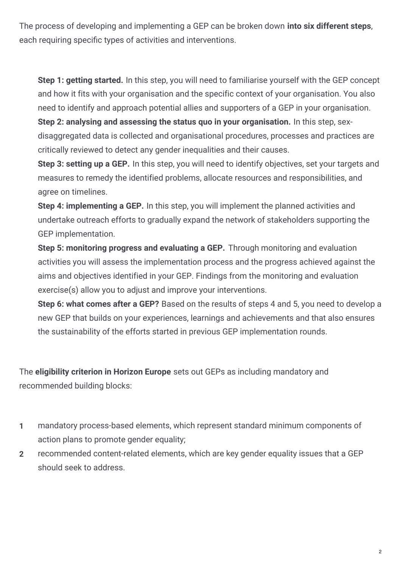The process of developing and implementing a GEP can be broken down **into six different steps**, each requiring specific types of activities and interventions.

**Step 1: getting started.** In this step, you will need to familiarise yourself with the GEP concept and how it fits with your organisation and the specific context of your organisation. You also need to identify and approach potential allies and supporters of a GEP in your organisation.

**Step 2: analysing and assessing the status quo in your organisation.** In this step, sexdisaggregated data is collected and organisational procedures, processes and practices are critically reviewed to detect any gender inequalities and their causes.

**Step 3: setting up a GEP.** In this step, you will need to identify objectives, set your targets and measures to remedy the identified problems, allocate resources and responsibilities, and agree on timelines.

**Step 4: implementing a GEP.** In this step, you will implement the planned activities and undertake outreach efforts to gradually expand the network of stakeholders supporting the GEP implementation.

**Step 5: monitoring progress and evaluating a GEP.** Through monitoring and evaluation activities you will assess the implementation process and the progress achieved against the aims and objectives identified in your GEP. Findings from the monitoring and evaluation exercise(s) allow you to adjust and improve your interventions.

**Step 6: what comes after a GEP?** Based on the results of steps 4 and 5, you need to develop a new GEP that builds on your experiences, learnings and achievements and that also ensures the sustainability of the efforts started in previous GEP implementation rounds.

The **eligibility criterion in Horizon Europe** sets out GEPs as including mandatory and recommended building blocks:

- mandatory process-based elements, which represent standard minimum components of action plans to promote gender equality; **1**
- recommended content-related elements, which are key gender equality issues that a GEP should seek to address. **2**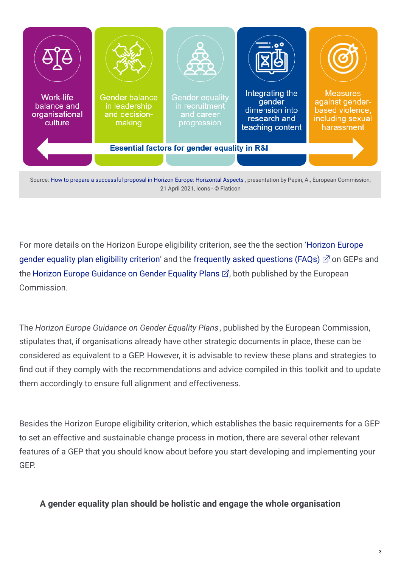

For more details on the Horizon Europe eligibility criterion, see the the section 'Horizon Europe gender equality plan eligibility criterion' and the [frequently](https://ec.europa.eu/info/sites/default/files/research_and_innovation/strategy_on_research_and_innovation/documents/ec_rtd_gep-faqs.pdf) asked questions (FAQs)  $\mathbb{Z}$  on GEPs and the Horizon Europe [Guidance](https://op.europa.eu/en/publication-detail/-/publication/ffcb06c3-200a-11ec-bd8e-01aa75ed71a1) on Gender Equality Plans  $\mathbb{Z}$ , both published by the European Commission.

The *Horizon Europe Guidance on Gender Equality Plans*, published by the European Commission, stipulates that, if organisations already have other strategic documents in place, these can be considered as equivalent to a GEP. However, it is advisable to review these plans and strategies to find out if they comply with the recommendations and advice compiled in this toolkit and to update them accordingly to ensure full alignment and effectiveness.

Besides the Horizon Europe eligibility criterion, which establishes the basic requirements for a GEP to set an effective and sustainable change process in motion, there are several other relevant features of a GEP that you should know about before you start developing and implementing your GEP.

# **A gender equality plan should be holistic and engage the whole organisation**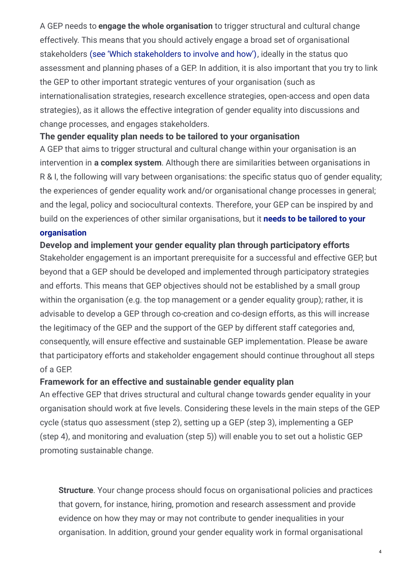A GEP needs to **engage the whole organisation** to trigger structural and cultural change effectively. This means that you should actively engage a broad set of organisational stakeholders (see 'Which stakeholders to involve and how'), ideally in the status quo assessment and planning phases of a GEP. In addition, it is also important that you try to link the GEP to other important strategic ventures of your organisation (such as internationalisation strategies, research excellence strategies, open-access and open data strategies), as it allows the effective integration of gender equality into discussions and change processes, and engages stakeholders.

## **The gender equality plan needs to be tailored to your organisation**

A GEP that aims to trigger structural and cultural change within your organisation is an intervention in **a complex system**. Although there are similarities between organisations in R & I, the following will vary between organisations: the specific status quo of gender equality; the experiences of gender equality work and/or organisational change processes in general; and the legal, policy and sociocultural contexts. Therefore, your GEP can be inspired by and build on the experiences of other similar [organisations,](https://eige.europa.eu/gender-mainstreaming/toolkits/gear/step-step-guide/step-3) but it **needs to be tailored to your**

#### **organisation**

Stakeholder engagement is an important prerequisite for a successful and effective GEP, but beyond that a GEP should be developed and implemented through participatory strategies and efforts. This means that GEP objectives should not be established by a small group within the organisation (e.g. the top management or a gender equality group); rather, it is advisable to develop a GEP through co-creation and co-design efforts, as this will increase the legitimacy of the GEP and the support of the GEP by different staff categories and, consequently, will ensure effective and sustainable GEP implementation. Please be aware that participatory efforts and stakeholder engagement should continue throughout all steps of a GEP. **Develop and implement your gender equality plan through participatory efforts**

### **Framework for an effective and sustainable gender equality plan**

An effective GEP that drives structural and cultural change towards gender equality in your organisation should work at five levels. Considering these levels in the main steps of the GEP cycle (status quo assessment (step 2), setting up a GEP (step 3), implementing a GEP (step 4), and monitoring and evaluation (step 5)) will enable you to set out a holistic GEP promoting sustainable change.

**Structure**. Your change process should focus on organisational policies and practices that govern, for instance, hiring, promotion and research assessment and provide evidence on how they may or may not contribute to gender inequalities in your organisation. In addition, ground your gender equality work in formal organisational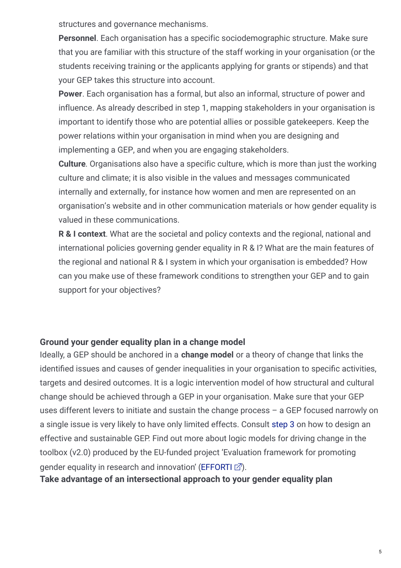structures and governance mechanisms.

**Personnel**. Each organisation has a specific sociodemographic structure. Make sure that you are familiar with this structure of the staff working in your organisation (or the students receiving training or the applicants applying for grants or stipends) and that your GEP takes this structure into account.

**Power**. Each organisation has a formal, but also an informal, structure of power and influence. As already described in step 1, mapping stakeholders in your organisation is important to identify those who are potential allies or possible gatekeepers. Keep the power relations within your organisation in mind when you are designing and implementing a GEP, and when you are engaging stakeholders.

**Culture**. Organisations also have a specific culture, which is more than just the working culture and climate; it is also visible in the values and messages communicated internally and externally, for instance how women and men are represented on an organisation's website and in other communication materials or how gender equality is valued in these communications.

**R & I context**. What are the societal and policy contexts and the regional, national and international policies governing gender equality in R & I? What are the main features of the regional and national R & I system in which your organisation is embedded? How can you make use of these framework conditions to strengthen your GEP and to gain support for your objectives?

# **Ground your gender equality plan in a change model**

Ideally, a GEP should be anchored in a **change model** or a theory of change that links the identified issues and causes of gender inequalities in your organisation to specific activities, targets and desired outcomes. It is a logic intervention model of how structural and cultural change should be achieved through a GEP in your organisation. Make sure that your GEP uses different levers to initiate and sustain the change process – a GEP focused narrowly on a single issue is very likely to have only limited effects. Consult [step](https://eige.europa.eu/gender-mainstreaming/toolkits/gear/step-step-guide/step-3) 3 on how to design an effective and sustainable GEP. Find out more about logic models for driving change in the toolbox (v2.0) produced by the EU-funded project 'Evaluation framework for promoting gender equality in research and innovation' [\(EFFORTI](http://efforti.eu/efforti-toolbox-intro)  $\mathbb{Z}$ ).

**Take advantage of an intersectional approach to your gender equality plan**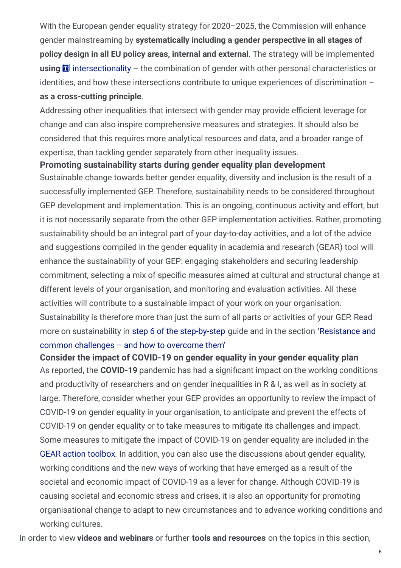With the European gender equality strategy for 2020–2025, the Commission will enhance gender mainstreaming by **systematically including a gender perspective in all stages of policy design in all EU policy areas, internal and external**. The strategy will be implemented using **D** [intersectionality](https://eige.europa.eu/term/1263/nojs) – the combination of gender with other personal characteristics or identities, and how these intersections contribute to unique experiences of discrimination – **as a cross-cutting principle**.

Addressing other inequalities that intersect with gender may provide efficient leverage for change and can also inspire comprehensive measures and strategies. It should also be considered that this requires more analytical resources and data, and a broader range of expertise, than tackling gender separately from other inequality issues.

#### **Promoting sustainability starts during gender equality plan development**

Sustainable change towards better gender equality, diversity and inclusion is the result of a successfully implemented GEP. Therefore, sustainability needs to be considered throughout GEP development and implementation. This is an ongoing, continuous activity and effort, but it is not necessarily separate from the other GEP implementation activities. Rather, promoting sustainability should be an integral part of your day-to-day activities, and a lot of the advice and suggestions compiled in the gender equality in academia and research (GEAR) tool will enhance the sustainability of your GEP: engaging stakeholders and securing leadership commitment, selecting a mix of specific measures aimed at cultural and structural change at different levels of your organisation, and monitoring and evaluation activities. All these activities will contribute to a sustainable impact of your work on your organisation. Sustainability is therefore more than just the sum of all parts or activities of your GEP. Read more on [sustainability](https://eige.europa.eu/gender-mainstreaming/toolkits/gear/challenges-resistance) in step 6 of the [step-by-step](https://eige.europa.eu/gender-mainstreaming/toolkits/gear/step-step-guide/step-6) guide and in the section 'Resistance and common challenges – and how to overcome them'

As reported, the **COVID-19** pandemic has had a significant impact on the working conditions and productivity of researchers and on gender inequalities in R & I, as well as in society at large. Therefore, consider whether your GEP provides an opportunity to review the impact of COVID-19 on gender equality in your organisation, to anticipate and prevent the effects of COVID-19 on gender equality or to take measures to mitigate its challenges and impact. Some measures to mitigate the impact of COVID-19 on gender equality are included in the GEAR action [toolbox.](https://eige.europa.eu/gender-mainstreaming/toolkits/gear/measures-mitigating-effect-covid-19) In addition, you can also use the discussions about gender equality, working conditions and the new ways of working that have emerged as a result of the societal and economic impact of COVID-19 as a lever for change. Although COVID-19 is causing societal and economic stress and crises, it is also an opportunity for promoting organisational change to adapt to new circumstances and to advance working conditions and working cultures. **Consider the impact of COVID-19 on gender equality in your gender equality plan**

In order to view **videos and webinars** or further **tools and resources** on the topics in this section,